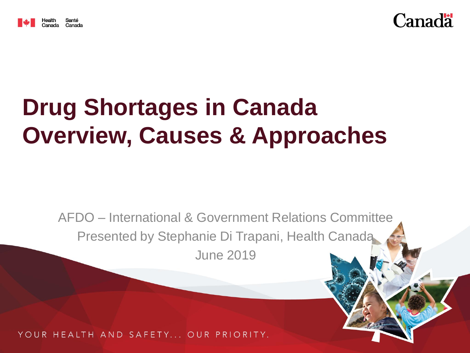



# **Drug Shortages in Canada Overview, Causes & Approaches**

AFDO – International & Government Relations Committee Presented by Stephanie Di Trapani, Health Canada June 2019

YOUR HEALTH AND SAFETY... OUR PRIORITY.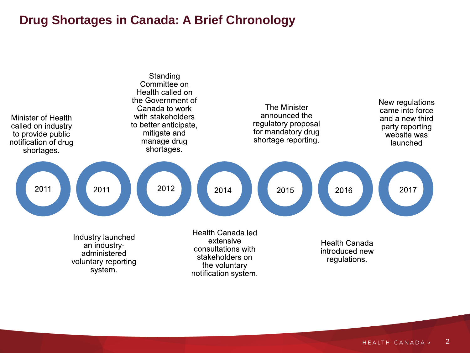### **Drug Shortages in Canada: A Brief Chronology**

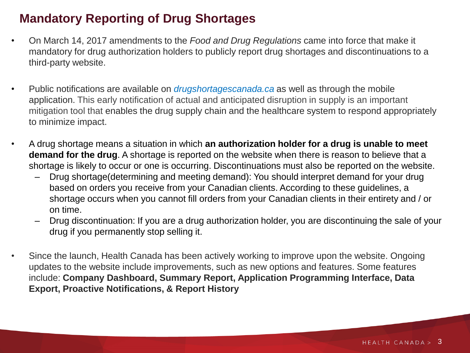### **Mandatory Reporting of Drug Shortages**

- On March 14, 2017 amendments to the *Food and Drug Regulations* came into force that make it mandatory for drug authorization holders to publicly report drug shortages and discontinuations to a third-party website.
- Public notifications are available on *drugshortagescanada.ca* as well as through the mobile application. This early notification of actual and anticipated disruption in supply is an important mitigation tool that enables the drug supply chain and the healthcare system to respond appropriately to minimize impact.
- A drug shortage means a situation in which **an authorization holder for a drug is unable to meet demand for the drug**. A shortage is reported on the website when there is reason to believe that a shortage is likely to occur or one is occurring. Discontinuations must also be reported on the website.
	- Drug shortage(determining and meeting demand): You should interpret demand for your drug based on orders you receive from your Canadian clients. According to these guidelines, a shortage occurs when you cannot fill orders from your Canadian clients in their entirety and / or on time.
	- Drug discontinuation: If you are a drug authorization holder, you are discontinuing the sale of your drug if you permanently stop selling it.
- Since the launch, Health Canada has been actively working to improve upon the website. Ongoing updates to the website include improvements, such as new options and features. Some features include: **Company Dashboard, Summary Report, Application Programming Interface, Data Export, Proactive Notifications, & Report History**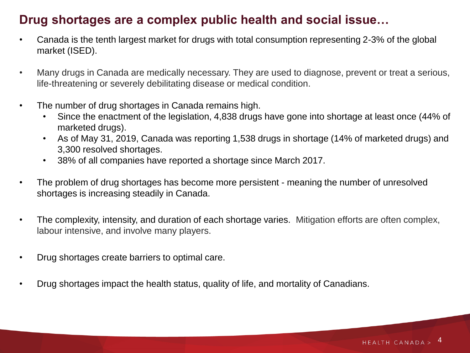### **Drug shortages are a complex public health and social issue…**

- Canada is the tenth largest market for drugs with total consumption representing 2-3% of the global market (ISED).
- Many drugs in Canada are medically necessary. They are used to diagnose, prevent or treat a serious, life-threatening or severely debilitating disease or medical condition.
- The number of drug shortages in Canada remains high.
	- Since the enactment of the legislation, 4,838 drugs have gone into shortage at least once (44% of marketed drugs).
	- As of May 31, 2019, Canada was reporting 1,538 drugs in shortage (14% of marketed drugs) and 3,300 resolved shortages.
	- 38% of all companies have reported a shortage since March 2017.
- The problem of drug shortages has become more persistent meaning the number of unresolved shortages is increasing steadily in Canada.
- The complexity, intensity, and duration of each shortage varies. Mitigation efforts are often complex, labour intensive, and involve many players.
- Drug shortages create barriers to optimal care.
- Drug shortages impact the health status, quality of life, and mortality of Canadians.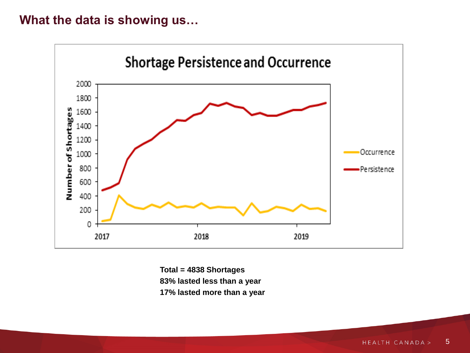### **What the data is showing us…**



**Total = 4838 Shortages 83% lasted less than a year 17% lasted more than a year**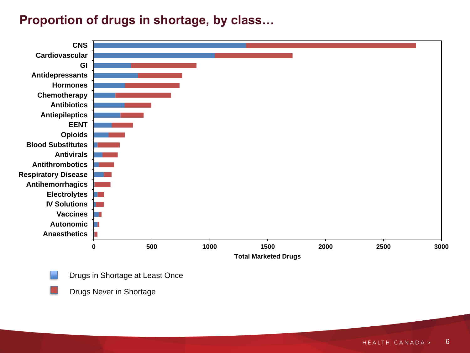### **Proportion of drugs in shortage, by class…**



Drugs in Shortage at Least Once

Drugs Never in Shortage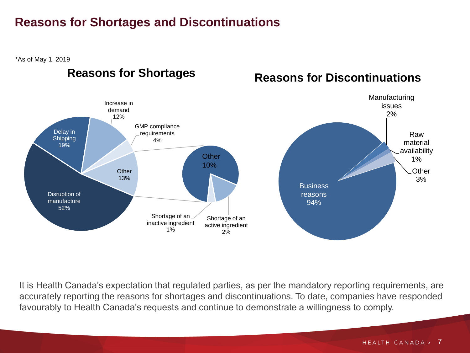### **Reasons for Shortages and Discontinuations**

\*As of May 1, 2019

### **Reasons for Shortages**

### **Reasons for Discontinuations**



It is Health Canada's expectation that regulated parties, as per the mandatory reporting requirements, are accurately reporting the reasons for shortages and discontinuations. To date, companies have responded favourably to Health Canada's requests and continue to demonstrate a willingness to comply.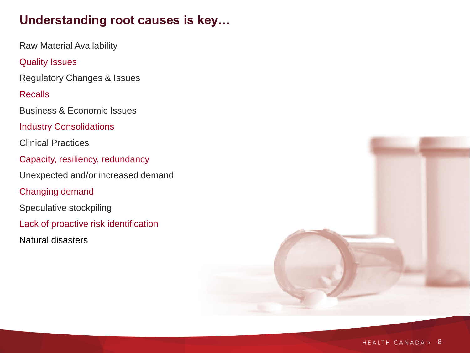### **Understanding root causes is key…**

Raw Material Availability

#### Quality Issues

Regulatory Changes & Issues

#### Recalls

Business & Economic Issues

Industry Consolidations

Clinical Practices

Capacity, resiliency, redundancy

Unexpected and/or increased demand

Changing demand

Speculative stockpiling

Lack of proactive risk identification

Natural disasters

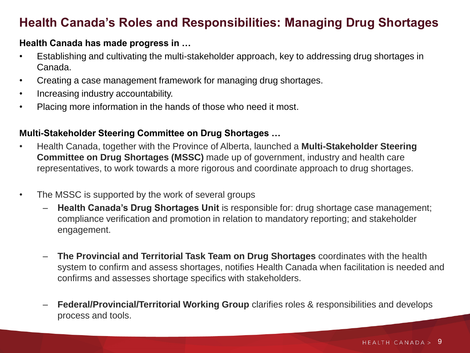### **Health Canada's Roles and Responsibilities: Managing Drug Shortages**

#### **Health Canada has made progress in …**

- Establishing and cultivating the multi-stakeholder approach, key to addressing drug shortages in Canada.
- Creating a case management framework for managing drug shortages.
- Increasing industry accountability.
- Placing more information in the hands of those who need it most.

#### **Multi-Stakeholder Steering Committee on Drug Shortages …**

- Health Canada, together with the Province of Alberta, launched a **Multi-Stakeholder Steering Committee on Drug Shortages (MSSC)** made up of government, industry and health care representatives, to work towards a more rigorous and coordinate approach to drug shortages.
- The MSSC is supported by the work of several groups
	- **Health Canada's Drug Shortages Unit** is responsible for: drug shortage case management; compliance verification and promotion in relation to mandatory reporting; and stakeholder engagement.
	- **The Provincial and Territorial Task Team on Drug Shortages** coordinates with the health system to confirm and assess shortages, notifies Health Canada when facilitation is needed and confirms and assesses shortage specifics with stakeholders.
	- **Federal/Provincial/Territorial Working Group** clarifies roles & responsibilities and develops process and tools.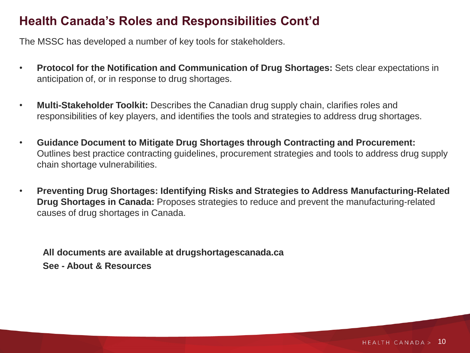### **Health Canada's Roles and Responsibilities Cont'd**

The MSSC has developed a number of key tools for stakeholders.

- **Protocol for the Notification and Communication of Drug Shortages:** Sets clear expectations in anticipation of, or in response to drug shortages.
- **Multi-Stakeholder Toolkit:** Describes the Canadian drug supply chain, clarifies roles and responsibilities of key players, and identifies the tools and strategies to address drug shortages.
- **Guidance Document to Mitigate Drug Shortages through Contracting and Procurement:**  Outlines best practice contracting guidelines, procurement strategies and tools to address drug supply chain shortage vulnerabilities.
- **Preventing Drug Shortages: Identifying Risks and Strategies to Address Manufacturing-Related Drug Shortages in Canada:** Proposes strategies to reduce and prevent the manufacturing-related causes of drug shortages in Canada.

**All documents are available at drugshortagescanada.ca See - About & Resources**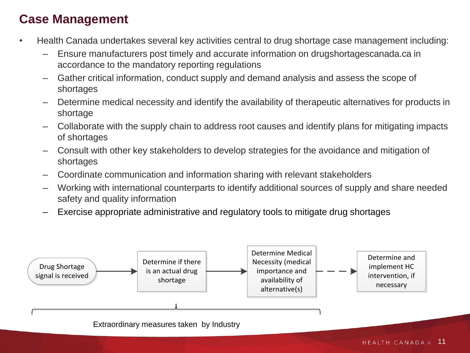### **Case Management**

- Health Canada undertakes several key activities central to drug shortage case management including:
	- Ensure manufacturers post timely and accurate information on drugshortagescanada.ca in accordance to the mandatory reporting regulations
	- Gather critical information, conduct supply and demand analysis and assess the scope of shortages
	- Determine medical necessity and identify the availability of therapeutic alternatives for products in shortage
	- Collaborate with the supply chain to address root causes and identify plans for mitigating impacts of shortages
	- Consult with other key stakeholders to develop strategies for the avoidance and mitigation of shortages
	- Coordinate communication and information sharing with relevant stakeholders
	- Working with international counterparts to identify additional sources of supply and share needed safety and quality information
	- Exercise appropriate administrative and regulatory tools to mitigate drug shortages

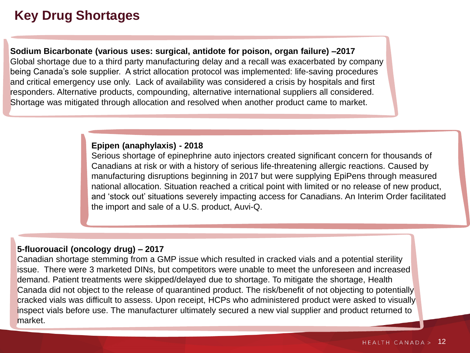# **Key Drug Shortages**

**Sodium Bicarbonate (various uses: surgical, antidote for poison, organ failure) –2017** Global shortage due to a third party manufacturing delay and a recall was exacerbated by company being Canada's sole supplier. A strict allocation protocol was implemented: life-saving procedures and critical emergency use only. Lack of availability was considered a crisis by hospitals and first responders. Alternative products, compounding, alternative international suppliers all considered. Shortage was mitigated through allocation and resolved when another product came to market.

#### **Epipen (anaphylaxis) - 2018**

Serious shortage of epinephrine auto injectors created significant concern for thousands of Canadians at risk or with a history of serious life-threatening allergic reactions. Caused by manufacturing disruptions beginning in 2017 but were supplying EpiPens through measured national allocation. Situation reached a critical point with limited or no release of new product, and 'stock out' situations severely impacting access for Canadians. An Interim Order facilitated the import and sale of a U.S. product, Auvi-Q.

#### **5-fluorouacil (oncology drug) – 2017**

Canadian shortage stemming from a GMP issue which resulted in cracked vials and a potential sterility issue. There were 3 marketed DINs, but competitors were unable to meet the unforeseen and increased demand. Patient treatments were skipped/delayed due to shortage. To mitigate the shortage, Health Canada did not object to the release of quarantined product. The risk/benefit of not objecting to potentially cracked vials was difficult to assess. Upon receipt, HCPs who administered product were asked to visually inspect vials before use. The manufacturer ultimately secured a new vial supplier and product returned to market.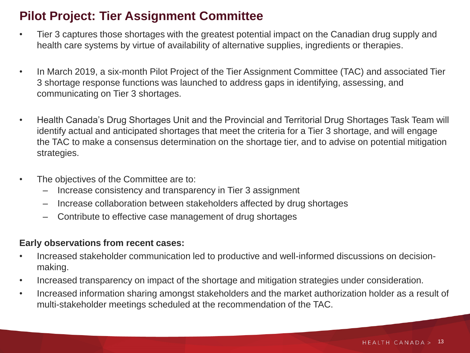### **Pilot Project: Tier Assignment Committee**

- Tier 3 captures those shortages with the greatest potential impact on the Canadian drug supply and health care systems by virtue of availability of alternative supplies, ingredients or therapies.
- In March 2019, a six-month Pilot Project of the Tier Assignment Committee (TAC) and associated Tier 3 shortage response functions was launched to address gaps in identifying, assessing, and communicating on Tier 3 shortages.
- Health Canada's Drug Shortages Unit and the Provincial and Territorial Drug Shortages Task Team will identify actual and anticipated shortages that meet the criteria for a Tier 3 shortage, and will engage the TAC to make a consensus determination on the shortage tier, and to advise on potential mitigation strategies.
- The objectives of the Committee are to:
	- Increase consistency and transparency in Tier 3 assignment
	- Increase collaboration between stakeholders affected by drug shortages
	- Contribute to effective case management of drug shortages

#### **Early observations from recent cases:**

- Increased stakeholder communication led to productive and well-informed discussions on decisionmaking.
- Increased transparency on impact of the shortage and mitigation strategies under consideration.
- Increased information sharing amongst stakeholders and the market authorization holder as a result of multi-stakeholder meetings scheduled at the recommendation of the TAC.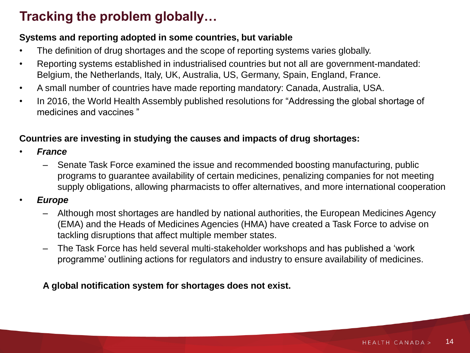# **Tracking the problem globally…**

#### **Systems and reporting adopted in some countries, but variable**

- The definition of drug shortages and the scope of reporting systems varies globally.
- Reporting systems established in industrialised countries but not all are government-mandated: Belgium, the Netherlands, Italy, UK, Australia, US, Germany, Spain, England, France.
- A small number of countries have made reporting mandatory: Canada, Australia, USA.
- In 2016, the World Health Assembly published resolutions for "Addressing the global shortage of medicines and vaccines "

#### **Countries are investing in studying the causes and impacts of drug shortages:**

- *France* 
	- Senate Task Force examined the issue and recommended boosting manufacturing, public programs to guarantee availability of certain medicines, penalizing companies for not meeting supply obligations, allowing pharmacists to offer alternatives, and more international cooperation
- *Europe*
	- Although most shortages are handled by national authorities, the European Medicines Agency (EMA) and the Heads of Medicines Agencies (HMA) have created a Task Force to advise on tackling disruptions that affect multiple member states.
	- The Task Force has held several multi-stakeholder workshops and has published a 'work programme' outlining actions for regulators and industry to ensure availability of medicines.

**A global notification system for shortages does not exist.**